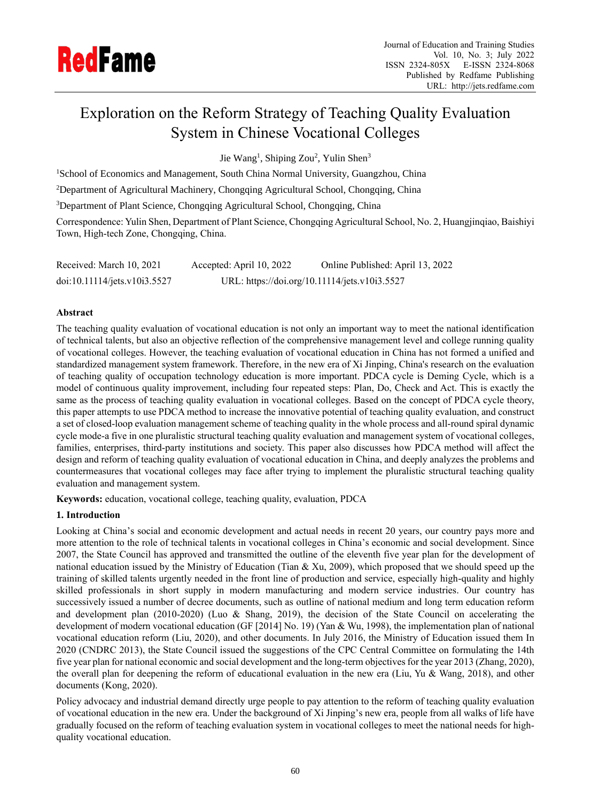

# Exploration on the Reform Strategy of Teaching Quality Evaluation System in Chinese Vocational Colleges

Jie Wang<sup>1</sup>, Shiping Zou<sup>2</sup>, Yulin Shen<sup>3</sup>

<sup>1</sup>School of Economics and Management, South China Normal University, Guangzhou, China

<sup>2</sup>Department of Agricultural Machinery, Chongqing Agricultural School, Chongqing, China

<sup>3</sup>Department of Plant Science, Chongqing Agricultural School, Chongqing, China

Correspondence: Yulin Shen, Department of Plant Science, Chongqing Agricultural School, No. 2, Huangjinqiao, Baishiyi Town, High-tech Zone, Chongqing, China.

| Received: March 10, 2021     | Accepted: April 10, 2022 | Online Published: April 13, 2022              |
|------------------------------|--------------------------|-----------------------------------------------|
| doi:10.11114/jets.v10i3.5527 |                          | URL: https://doi.org/10.11114/jets.v10i3.5527 |

## **Abstract**

The teaching quality evaluation of vocational education is not only an important way to meet the national identification of technical talents, but also an objective reflection of the comprehensive management level and college running quality of vocational colleges. However, the teaching evaluation of vocational education in China has not formed a unified and standardized management system framework. Therefore, in the new era of Xi Jinping, China's research on the evaluation of teaching quality of occupation technology education is more important. PDCA cycle is Deming Cycle, which is a model of continuous quality improvement, including four repeated steps: Plan, Do, Check and Act. This is exactly the same as the process of teaching quality evaluation in vocational colleges. Based on the concept of PDCA cycle theory, this paper attempts to use PDCA method to increase the innovative potential of teaching quality evaluation, and construct a set of closed-loop evaluation management scheme of teaching quality in the whole process and all-round spiral dynamic cycle mode-a five in one pluralistic structural teaching quality evaluation and management system of vocational colleges, families, enterprises, third-party institutions and society. This paper also discusses how PDCA method will affect the design and reform of teaching quality evaluation of vocational education in China, and deeply analyzes the problems and countermeasures that vocational colleges may face after trying to implement the pluralistic structural teaching quality evaluation and management system.

**Keywords:** education, vocational college, teaching quality, evaluation, PDCA

## **1. Introduction**

Looking at China's social and economic development and actual needs in recent 20 years, our country pays more and more attention to the role of technical talents in vocational colleges in China's economic and social development. Since 2007, the State Council has approved and transmitted the outline of the eleventh five year plan for the development of national education issued by the Ministry of Education (Tian & Xu, 2009), which proposed that we should speed up the training of skilled talents urgently needed in the front line of production and service, especially high-quality and highly skilled professionals in short supply in modern manufacturing and modern service industries. Our country has successively issued a number of decree documents, such as outline of national medium and long term education reform and development plan (2010-2020) (Luo & Shang, 2019), the decision of the State Council on accelerating the development of modern vocational education (GF [2014] No. 19) (Yan & Wu, 1998), the implementation plan of national vocational education reform (Liu, 2020), and other documents. In July 2016, the Ministry of Education issued them In 2020 (CNDRC 2013), the State Council issued the suggestions of the CPC Central Committee on formulating the 14th five year plan for national economic and social development and the long-term objectives for the year 2013 (Zhang, 2020), the overall plan for deepening the reform of educational evaluation in the new era (Liu, Yu & Wang, 2018), and other documents (Kong, 2020).

Policy advocacy and industrial demand directly urge people to pay attention to the reform of teaching quality evaluation of vocational education in the new era. Under the background of Xi Jinping's new era, people from all walks of life have gradually focused on the reform of teaching evaluation system in vocational colleges to meet the national needs for highquality vocational education.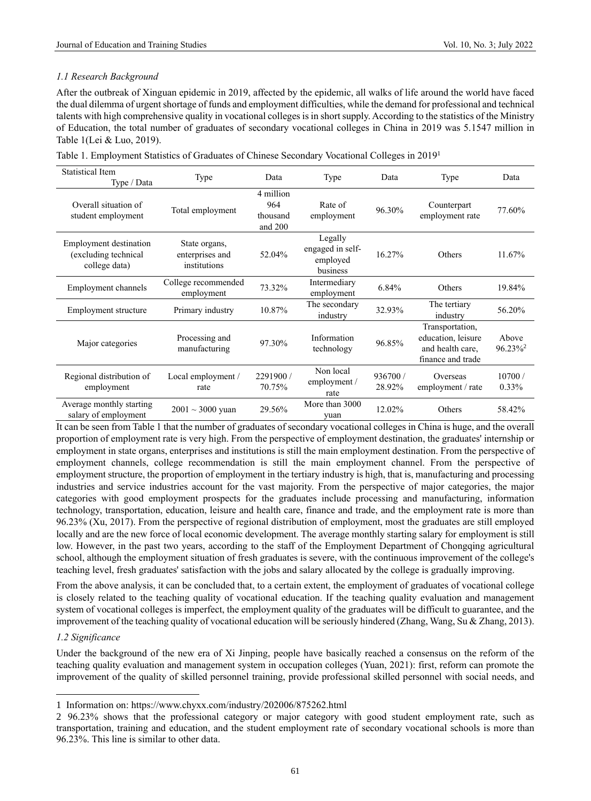# *1.1 Research Background*

After the outbreak of Xinguan epidemic in 2019, affected by the epidemic, all walks of life around the world have faced the dual dilemma of urgent shortage of funds and employment difficulties, while the demand for professional and technical talents with high comprehensive quality in vocational colleges is in short supply. According to the statistics of the Ministry of Education, the total number of graduates of secondary vocational colleges in China in 2019 was 5.1547 million in Table 1(Lei & Luo, 2019).

| Table 1. Employment Statistics of Graduates of Chinese Secondary Vocational Colleges in 2019 <sup>1</sup> |  |  |  |  |
|-----------------------------------------------------------------------------------------------------------|--|--|--|--|
|                                                                                                           |  |  |  |  |

| <b>Statistical Item</b><br>Type / Data                          | Type                                             | Data                                    | Type                                                | Data               | Type                                                                           | Data                            |
|-----------------------------------------------------------------|--------------------------------------------------|-----------------------------------------|-----------------------------------------------------|--------------------|--------------------------------------------------------------------------------|---------------------------------|
| Overall situation of<br>student employment                      | Total employment                                 | 4 million<br>964<br>thousand<br>and 200 | Rate of<br>employment                               | 96.30%             | Counterpart<br>employment rate                                                 | 77.60%                          |
| Employment destination<br>(excluding technical<br>college data) | State organs,<br>enterprises and<br>institutions | 52.04%                                  | Legally<br>engaged in self-<br>employed<br>business | 16.27%             | Others                                                                         | 11.67%                          |
| Employment channels                                             | College recommended<br>employment                | 73.32%                                  | Intermediary<br>employment                          | 6.84%              | Others                                                                         | 19.84%                          |
| Employment structure                                            | Primary industry                                 | 10.87%                                  | The secondary<br>industry                           | 32.93%             | The tertiary<br>industry                                                       | 56.20%                          |
| Major categories                                                | Processing and<br>manufacturing                  | 97.30%                                  | Information<br>technology                           | 96.85%             | Transportation,<br>education, leisure<br>and health care,<br>finance and trade | Above<br>$96.23\%$ <sup>2</sup> |
| Regional distribution of<br>employment                          | Local employment /<br>rate                       | 2291900 /<br>70.75%                     | Non local<br>employment /<br>rate                   | 936700 /<br>28.92% | Overseas<br>employment / rate                                                  | 10700/<br>0.33%                 |
| Average monthly starting<br>salary of employment                | $2001 \sim 3000$ yuan                            | 29.56%                                  | More than 3000<br>yuan                              | 12.02%             | Others                                                                         | 58.42%                          |

It can be seen from Table 1 that the number of graduates of secondary vocational colleges in China is huge, and the overall proportion of employment rate is very high. From the perspective of employment destination, the graduates' internship or employment in state organs, enterprises and institutions is still the main employment destination. From the perspective of employment channels, college recommendation is still the main employment channel. From the perspective of employment structure, the proportion of employment in the tertiary industry is high, that is, manufacturing and processing industries and service industries account for the vast majority. From the perspective of major categories, the major categories with good employment prospects for the graduates include processing and manufacturing, information technology, transportation, education, leisure and health care, finance and trade, and the employment rate is more than 96.23% (Xu, 2017). From the perspective of regional distribution of employment, most the graduates are still employed locally and are the new force of local economic development. The average monthly starting salary for employment is still low. However, in the past two years, according to the staff of the Employment Department of Chongqing agricultural school, although the employment situation of fresh graduates is severe, with the continuous improvement of the college's teaching level, fresh graduates' satisfaction with the jobs and salary allocated by the college is gradually improving.

From the above analysis, it can be concluded that, to a certain extent, the employment of graduates of vocational college is closely related to the teaching quality of vocational education. If the teaching quality evaluation and management system of vocational colleges is imperfect, the employment quality of the graduates will be difficult to guarantee, and the improvement of the teaching quality of vocational education will be seriously hindered (Zhang, Wang, Su & Zhang, 2013).

# *1.2 Significance*

Under the background of the new era of Xi Jinping, people have basically reached a consensus on the reform of the teaching quality evaluation and management system in occupation colleges (Yuan, 2021): first, reform can promote the improvement of the quality of skilled personnel training, provide professional skilled personnel with social needs, and

<sup>1</sup> Information on: https://www.chyxx.com/industry/202006/875262.html

<sup>2 96.23%</sup> shows that the professional category or major category with good student employment rate, such as transportation, training and education, and the student employment rate of secondary vocational schools is more than 96.23%. This line is similar to other data.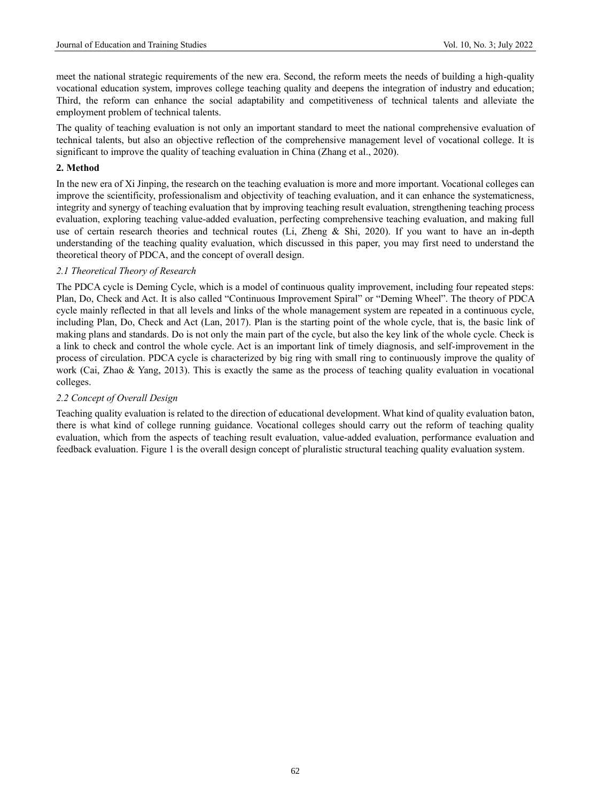meet the national strategic requirements of the new era. Second, the reform meets the needs of building a high-quality vocational education system, improves college teaching quality and deepens the integration of industry and education; Third, the reform can enhance the social adaptability and competitiveness of technical talents and alleviate the employment problem of technical talents.

The quality of teaching evaluation is not only an important standard to meet the national comprehensive evaluation of technical talents, but also an objective reflection of the comprehensive management level of vocational college. It is significant to improve the quality of teaching evaluation in China (Zhang et al., 2020).

# **2. Method**

In the new era of Xi Jinping, the research on the teaching evaluation is more and more important. Vocational colleges can improve the scientificity, professionalism and objectivity of teaching evaluation, and it can enhance the systematicness, integrity and synergy of teaching evaluation that by improving teaching result evaluation, strengthening teaching process evaluation, exploring teaching value-added evaluation, perfecting comprehensive teaching evaluation, and making full use of certain research theories and technical routes (Li, Zheng & Shi, 2020). If you want to have an in-depth understanding of the teaching quality evaluation, which discussed in this paper, you may first need to understand the theoretical theory of PDCA, and the concept of overall design.

# *2.1 Theoretical Theory of Research*

The PDCA cycle is Deming Cycle, which is a model of continuous quality improvement, including four repeated steps: Plan, Do, Check and Act. It is also called "Continuous Improvement Spiral" or "Deming Wheel". The theory of PDCA cycle mainly reflected in that all levels and links of the whole management system are repeated in a continuous cycle, including Plan, Do, Check and Act (Lan, 2017). Plan is the starting point of the whole cycle, that is, the basic link of making plans and standards. Do is not only the main part of the cycle, but also the key link of the whole cycle. Check is a link to check and control the whole cycle. Act is an important link of timely diagnosis, and self-improvement in the process of circulation. PDCA cycle is characterized by big ring with small ring to continuously improve the quality of work (Cai, Zhao & Yang, 2013). This is exactly the same as the process of teaching quality evaluation in vocational colleges.

## *2.2 Concept of Overall Design*

Teaching quality evaluation is related to the direction of educational development. What kind of quality evaluation baton, there is what kind of college running guidance. Vocational colleges should carry out the reform of teaching quality evaluation, which from the aspects of teaching result evaluation, value-added evaluation, performance evaluation and feedback evaluation. Figure 1 is the overall design concept of pluralistic structural teaching quality evaluation system.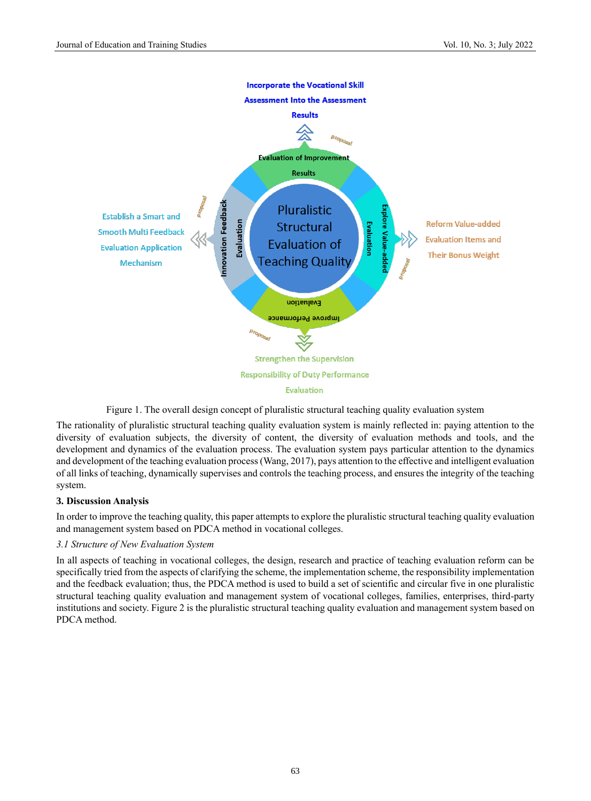

Figure 1. The overall design concept of pluralistic structural teaching quality evaluation system

The rationality of pluralistic structural teaching quality evaluation system is mainly reflected in: paying attention to the diversity of evaluation subjects, the diversity of content, the diversity of evaluation methods and tools, and the development and dynamics of the evaluation process. The evaluation system pays particular attention to the dynamics and development of the teaching evaluation process (Wang, 2017), pays attention to the effective and intelligent evaluation of all links of teaching, dynamically supervises and controls the teaching process, and ensures the integrity of the teaching system.

# **3. Discussion Analysis**

In order to improve the teaching quality, this paper attempts to explore the pluralistic structural teaching quality evaluation and management system based on PDCA method in vocational colleges.

## *3.1 Structure of New Evaluation System*

In all aspects of teaching in vocational colleges, the design, research and practice of teaching evaluation reform can be specifically tried from the aspects of clarifying the scheme, the implementation scheme, the responsibility implementation and the feedback evaluation; thus, the PDCA method is used to build a set of scientific and circular five in one pluralistic structural teaching quality evaluation and management system of vocational colleges, families, enterprises, third-party institutions and society. Figure 2 is the pluralistic structural teaching quality evaluation and management system based on PDCA method.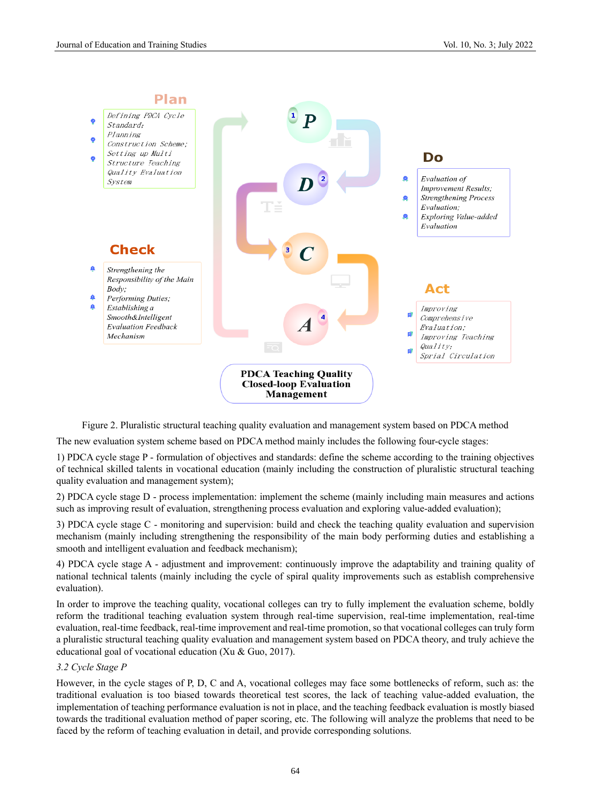

Figure 2. Pluralistic structural teaching quality evaluation and management system based on PDCA method

The new evaluation system scheme based on PDCA method mainly includes the following four-cycle stages:

1) PDCA cycle stage P - formulation of objectives and standards: define the scheme according to the training objectives of technical skilled talents in vocational education (mainly including the construction of pluralistic structural teaching quality evaluation and management system);

2) PDCA cycle stage D - process implementation: implement the scheme (mainly including main measures and actions such as improving result of evaluation, strengthening process evaluation and exploring value-added evaluation);

3) PDCA cycle stage C - monitoring and supervision: build and check the teaching quality evaluation and supervision mechanism (mainly including strengthening the responsibility of the main body performing duties and establishing a smooth and intelligent evaluation and feedback mechanism);

4) PDCA cycle stage A - adjustment and improvement: continuously improve the adaptability and training quality of national technical talents (mainly including the cycle of spiral quality improvements such as establish comprehensive evaluation).

In order to improve the teaching quality, vocational colleges can try to fully implement the evaluation scheme, boldly reform the traditional teaching evaluation system through real-time supervision, real-time implementation, real-time evaluation, real-time feedback, real-time improvement and real-time promotion, so that vocational colleges can truly form a pluralistic structural teaching quality evaluation and management system based on PDCA theory, and truly achieve the educational goal of vocational education (Xu & Guo, 2017).

## *3.2 Cycle Stage P*

However, in the cycle stages of P, D, C and A, vocational colleges may face some bottlenecks of reform, such as: the traditional evaluation is too biased towards theoretical test scores, the lack of teaching value-added evaluation, the implementation of teaching performance evaluation is not in place, and the teaching feedback evaluation is mostly biased towards the traditional evaluation method of paper scoring, etc. The following will analyze the problems that need to be faced by the reform of teaching evaluation in detail, and provide corresponding solutions.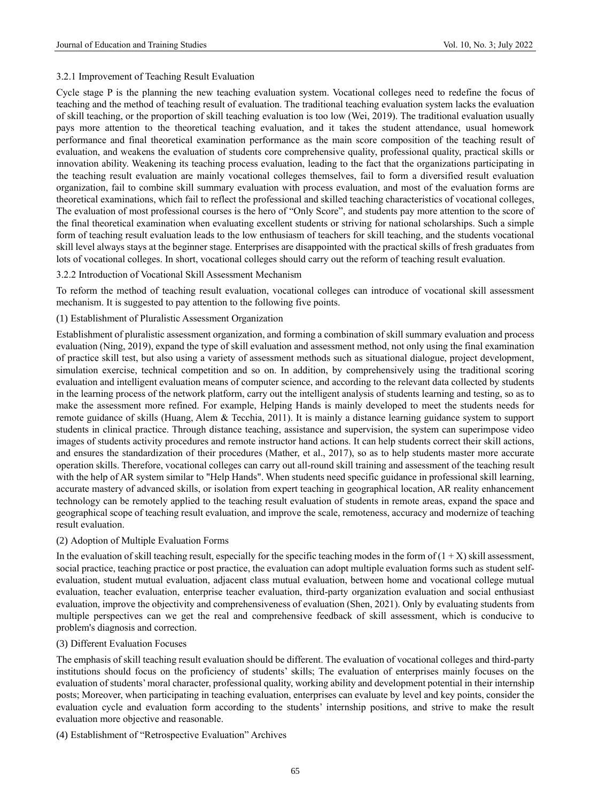#### 3.2.1 Improvement of Teaching Result Evaluation

Cycle stage P is the planning the new teaching evaluation system. Vocational colleges need to redefine the focus of teaching and the method of teaching result of evaluation. The traditional teaching evaluation system lacks the evaluation of skill teaching, or the proportion of skill teaching evaluation is too low (Wei, 2019). The traditional evaluation usually pays more attention to the theoretical teaching evaluation, and it takes the student attendance, usual homework performance and final theoretical examination performance as the main score composition of the teaching result of evaluation, and weakens the evaluation of students core comprehensive quality, professional quality, practical skills or innovation ability. Weakening its teaching process evaluation, leading to the fact that the organizations participating in the teaching result evaluation are mainly vocational colleges themselves, fail to form a diversified result evaluation organization, fail to combine skill summary evaluation with process evaluation, and most of the evaluation forms are theoretical examinations, which fail to reflect the professional and skilled teaching characteristics of vocational colleges, The evaluation of most professional courses is the hero of "Only Score", and students pay more attention to the score of the final theoretical examination when evaluating excellent students or striving for national scholarships. Such a simple form of teaching result evaluation leads to the low enthusiasm of teachers for skill teaching, and the students vocational skill level always stays at the beginner stage. Enterprises are disappointed with the practical skills of fresh graduates from lots of vocational colleges. In short, vocational colleges should carry out the reform of teaching result evaluation.

#### 3.2.2 Introduction of Vocational Skill Assessment Mechanism

To reform the method of teaching result evaluation, vocational colleges can introduce of vocational skill assessment mechanism. It is suggested to pay attention to the following five points.

#### (1) Establishment of Pluralistic Assessment Organization

Establishment of pluralistic assessment organization, and forming a combination of skill summary evaluation and process evaluation (Ning, 2019), expand the type of skill evaluation and assessment method, not only using the final examination of practice skill test, but also using a variety of assessment methods such as situational dialogue, project development, simulation exercise, technical competition and so on. In addition, by comprehensively using the traditional scoring evaluation and intelligent evaluation means of computer science, and according to the relevant data collected by students in the learning process of the network platform, carry out the intelligent analysis of students learning and testing, so as to make the assessment more refined. For example, Helping Hands is mainly developed to meet the students needs for remote guidance of skills (Huang, Alem & Tecchia, 2011). It is mainly a distance learning guidance system to support students in clinical practice. Through distance teaching, assistance and supervision, the system can superimpose video images of students activity procedures and remote instructor hand actions. It can help students correct their skill actions, and ensures the standardization of their procedures (Mather, et al., 2017), so as to help students master more accurate operation skills. Therefore, vocational colleges can carry out all-round skill training and assessment of the teaching result with the help of AR system similar to "Help Hands". When students need specific guidance in professional skill learning, accurate mastery of advanced skills, or isolation from expert teaching in geographical location, AR reality enhancement technology can be remotely applied to the teaching result evaluation of students in remote areas, expand the space and geographical scope of teaching result evaluation, and improve the scale, remoteness, accuracy and modernize of teaching result evaluation.

## (2) Adoption of Multiple Evaluation Forms

In the evaluation of skill teaching result, especially for the specific teaching modes in the form of  $(1 + X)$  skill assessment, social practice, teaching practice or post practice, the evaluation can adopt multiple evaluation forms such as student selfevaluation, student mutual evaluation, adjacent class mutual evaluation, between home and vocational college mutual evaluation, teacher evaluation, enterprise teacher evaluation, third-party organization evaluation and social enthusiast evaluation, improve the objectivity and comprehensiveness of evaluation (Shen, 2021). Only by evaluating students from multiple perspectives can we get the real and comprehensive feedback of skill assessment, which is conducive to problem's diagnosis and correction.

#### (3) Different Evaluation Focuses

The emphasis of skill teaching result evaluation should be different. The evaluation of vocational colleges and third-party institutions should focus on the proficiency of students' skills; The evaluation of enterprises mainly focuses on the evaluation of students' moral character, professional quality, working ability and development potential in their internship posts; Moreover, when participating in teaching evaluation, enterprises can evaluate by level and key points, consider the evaluation cycle and evaluation form according to the students' internship positions, and strive to make the result evaluation more objective and reasonable.

#### (4) Establishment of "Retrospective Evaluation" Archives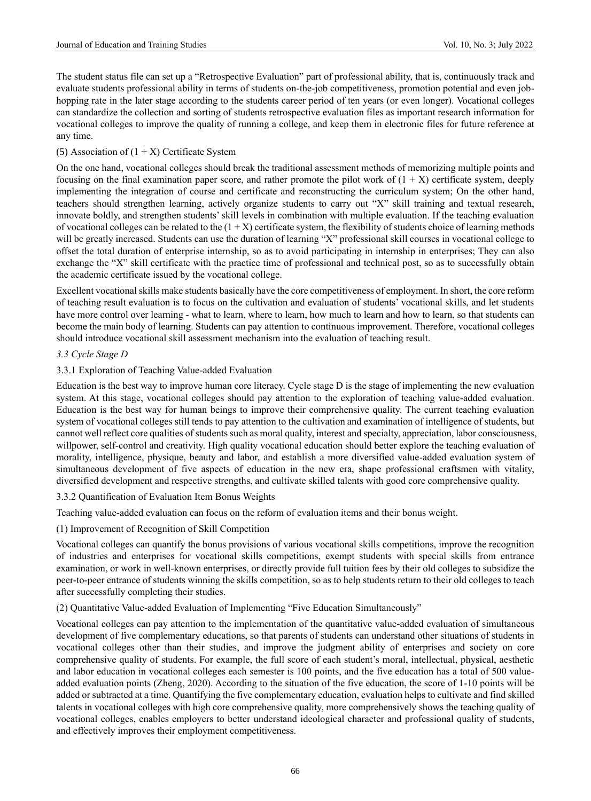The student status file can set up a "Retrospective Evaluation" part of professional ability, that is, continuously track and evaluate students professional ability in terms of students on-the-job competitiveness, promotion potential and even jobhopping rate in the later stage according to the students career period of ten years (or even longer). Vocational colleges can standardize the collection and sorting of students retrospective evaluation files as important research information for vocational colleges to improve the quality of running a college, and keep them in electronic files for future reference at any time.

## (5) Association of  $(1 + X)$  Certificate System

On the one hand, vocational colleges should break the traditional assessment methods of memorizing multiple points and focusing on the final examination paper score, and rather promote the pilot work of  $(1 + X)$  certificate system, deeply implementing the integration of course and certificate and reconstructing the curriculum system; On the other hand, teachers should strengthen learning, actively organize students to carry out "X" skill training and textual research, innovate boldly, and strengthen students' skill levels in combination with multiple evaluation. If the teaching evaluation of vocational colleges can be related to the  $(1 + X)$  certificate system, the flexibility of students choice of learning methods will be greatly increased. Students can use the duration of learning "X" professional skill courses in vocational college to offset the total duration of enterprise internship, so as to avoid participating in internship in enterprises; They can also exchange the "X" skill certificate with the practice time of professional and technical post, so as to successfully obtain the academic certificate issued by the vocational college.

Excellent vocational skills make students basically have the core competitiveness of employment. In short, the core reform of teaching result evaluation is to focus on the cultivation and evaluation of students' vocational skills, and let students have more control over learning - what to learn, where to learn, how much to learn and how to learn, so that students can become the main body of learning. Students can pay attention to continuous improvement. Therefore, vocational colleges should introduce vocational skill assessment mechanism into the evaluation of teaching result.

## *3.3 Cycle Stage D*

## 3.3.1 Exploration of Teaching Value-added Evaluation

Education is the best way to improve human core literacy. Cycle stage D is the stage of implementing the new evaluation system. At this stage, vocational colleges should pay attention to the exploration of teaching value-added evaluation. Education is the best way for human beings to improve their comprehensive quality. The current teaching evaluation system of vocational colleges still tends to pay attention to the cultivation and examination of intelligence of students, but cannot well reflect core qualities of students such as moral quality, interest and specialty, appreciation, labor consciousness, willpower, self-control and creativity. High quality vocational education should better explore the teaching evaluation of morality, intelligence, physique, beauty and labor, and establish a more diversified value-added evaluation system of simultaneous development of five aspects of education in the new era, shape professional craftsmen with vitality, diversified development and respective strengths, and cultivate skilled talents with good core comprehensive quality.

3.3.2 Quantification of Evaluation Item Bonus Weights

Teaching value-added evaluation can focus on the reform of evaluation items and their bonus weight.

(1) Improvement of Recognition of Skill Competition

Vocational colleges can quantify the bonus provisions of various vocational skills competitions, improve the recognition of industries and enterprises for vocational skills competitions, exempt students with special skills from entrance examination, or work in well-known enterprises, or directly provide full tuition fees by their old colleges to subsidize the peer-to-peer entrance of students winning the skills competition, so as to help students return to their old colleges to teach after successfully completing their studies.

(2) Quantitative Value-added Evaluation of Implementing "Five Education Simultaneously"

Vocational colleges can pay attention to the implementation of the quantitative value-added evaluation of simultaneous development of five complementary educations, so that parents of students can understand other situations of students in vocational colleges other than their studies, and improve the judgment ability of enterprises and society on core comprehensive quality of students. For example, the full score of each student's moral, intellectual, physical, aesthetic and labor education in vocational colleges each semester is 100 points, and the five education has a total of 500 valueadded evaluation points (Zheng, 2020). According to the situation of the five education, the score of 1-10 points will be added or subtracted at a time. Quantifying the five complementary education, evaluation helps to cultivate and find skilled talents in vocational colleges with high core comprehensive quality, more comprehensively shows the teaching quality of vocational colleges, enables employers to better understand ideological character and professional quality of students, and effectively improves their employment competitiveness.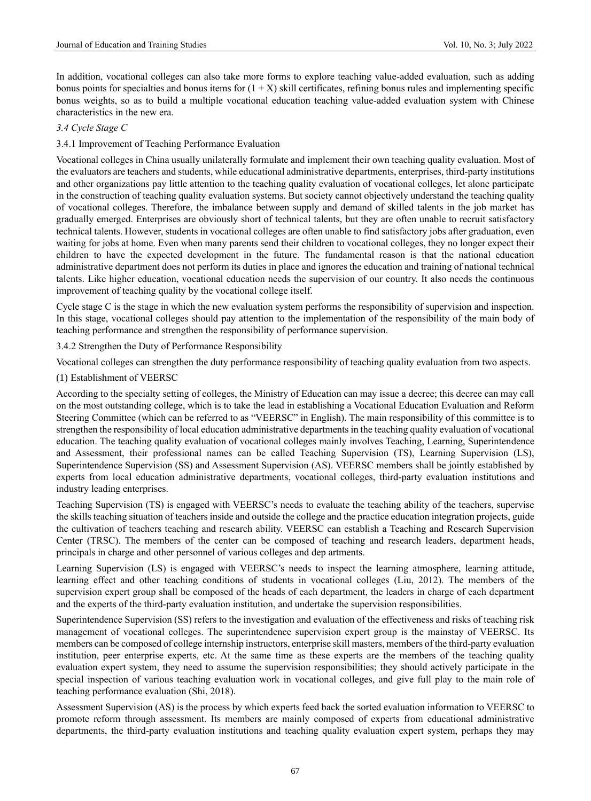In addition, vocational colleges can also take more forms to explore teaching value-added evaluation, such as adding bonus points for specialties and bonus items for  $(1 + X)$  skill certificates, refining bonus rules and implementing specific bonus weights, so as to build a multiple vocational education teaching value-added evaluation system with Chinese characteristics in the new era.

#### *3.4 Cycle Stage C*

#### 3.4.1 Improvement of Teaching Performance Evaluation

Vocational colleges in China usually unilaterally formulate and implement their own teaching quality evaluation. Most of the evaluators are teachers and students, while educational administrative departments, enterprises, third-party institutions and other organizations pay little attention to the teaching quality evaluation of vocational colleges, let alone participate in the construction of teaching quality evaluation systems. But society cannot objectively understand the teaching quality of vocational colleges. Therefore, the imbalance between supply and demand of skilled talents in the job market has gradually emerged. Enterprises are obviously short of technical talents, but they are often unable to recruit satisfactory technical talents. However, students in vocational colleges are often unable to find satisfactory jobs after graduation, even waiting for jobs at home. Even when many parents send their children to vocational colleges, they no longer expect their children to have the expected development in the future. The fundamental reason is that the national education administrative department does not perform its duties in place and ignores the education and training of national technical talents. Like higher education, vocational education needs the supervision of our country. It also needs the continuous improvement of teaching quality by the vocational college itself.

Cycle stage C is the stage in which the new evaluation system performs the responsibility of supervision and inspection. In this stage, vocational colleges should pay attention to the implementation of the responsibility of the main body of teaching performance and strengthen the responsibility of performance supervision.

3.4.2 Strengthen the Duty of Performance Responsibility

Vocational colleges can strengthen the duty performance responsibility of teaching quality evaluation from two aspects.

#### (1) Establishment of VEERSC

According to the specialty setting of colleges, the Ministry of Education can may issue a decree; this decree can may call on the most outstanding college, which is to take the lead in establishing a Vocational Education Evaluation and Reform Steering Committee (which can be referred to as "VEERSC" in English). The main responsibility of this committee is to strengthen the responsibility of local education administrative departments in the teaching quality evaluation of vocational education. The teaching quality evaluation of vocational colleges mainly involves Teaching, Learning, Superintendence and Assessment, their professional names can be called Teaching Supervision (TS), Learning Supervision (LS), Superintendence Supervision (SS) and Assessment Supervision (AS). VEERSC members shall be jointly established by experts from local education administrative departments, vocational colleges, third-party evaluation institutions and industry leading enterprises.

Teaching Supervision (TS) is engaged with VEERSC's needs to evaluate the teaching ability of the teachers, supervise the skills teaching situation of teachers inside and outside the college and the practice education integration projects, guide the cultivation of teachers teaching and research ability. VEERSC can establish a Teaching and Research Supervision Center (TRSC). The members of the center can be composed of teaching and research leaders, department heads, principals in charge and other personnel of various colleges and dep artments.

Learning Supervision (LS) is engaged with VEERSC's needs to inspect the learning atmosphere, learning attitude, learning effect and other teaching conditions of students in vocational colleges (Liu, [20](file:///E:/Work%20Files-Wangrou/Redfame/JETS/JETS-V10N3-July-2022/--Shen%20Yulin-Exploration/2022.4.8-final edition.docx%23_References)12). The members of the supervision expert group shall be composed of the heads of each department, the leaders in charge of each department and the experts of the third-party evaluation institution, and undertake the supervision responsibilities.

Superintendence Supervision (SS) refers to the investigation and evaluation of the effectiveness and risks of teaching risk management of vocational colleges. The superintendence supervision expert group is the mainstay of VEERSC. Its members can be composed of college internship instructors, enterprise skill masters, members of the third-party evaluation institution, peer enterprise experts, etc. At the same time as these experts are the members of the teaching quality evaluation expert system, they need to assume the supervision responsibilities; they should actively participate in the special inspection of various teaching evaluation work in vocational colleges, and give full play to the main role of teaching performance evaluation (Shi, 2018).

Assessment Supervision (AS) is the process by which experts feed back the sorted evaluation information to VEERSC to promote reform through assessment. Its members are mainly composed of experts from educational administrative departments, the third-party evaluation institutions and teaching quality evaluation expert system, perhaps they may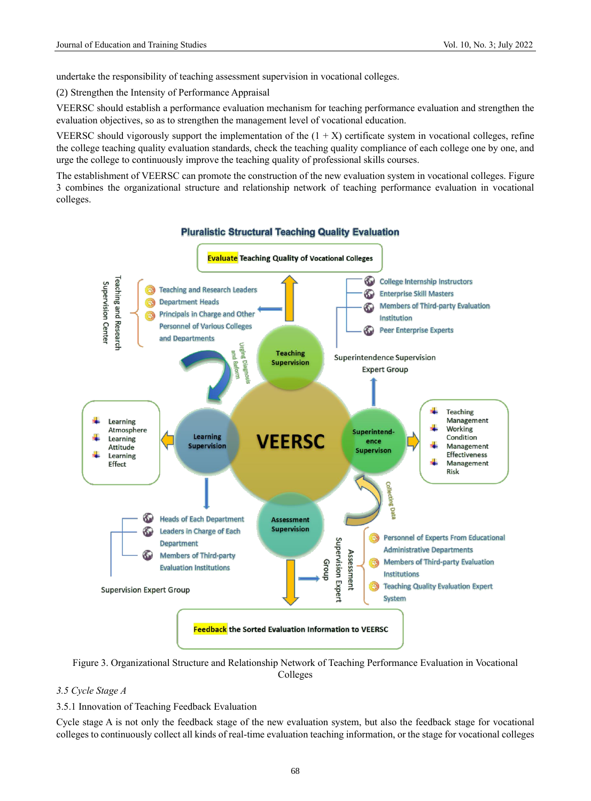undertake the responsibility of teaching assessment supervision in vocational colleges.

(2) Strengthen the Intensity of Performance Appraisal

VEERSC should establish a performance evaluation mechanism for teaching performance evaluation and strengthen the evaluation objectives, so as to strengthen the management level of vocational education.

VEERSC should vigorously support the implementation of the  $(1 + X)$  certificate system in vocational colleges, refine the college teaching quality evaluation standards, check the teaching quality compliance of each college one by one, and urge the college to continuously improve the teaching quality of professional skills courses.

The establishment of VEERSC can promote the construction of the new evaluation system in vocational colleges. Figure 3 combines the organizational structure and relationship network of teaching performance evaluation in vocational colleges.



Figure 3. Organizational Structure and Relationship Network of Teaching Performance Evaluation in Vocational Colleges

# *3.5 Cycle Stage A*

3.5.1 Innovation of Teaching Feedback Evaluation

Cycle stage A is not only the feedback stage of the new evaluation system, but also the feedback stage for vocational colleges to continuously collect all kinds of real-time evaluation teaching information, or the stage for vocational colleges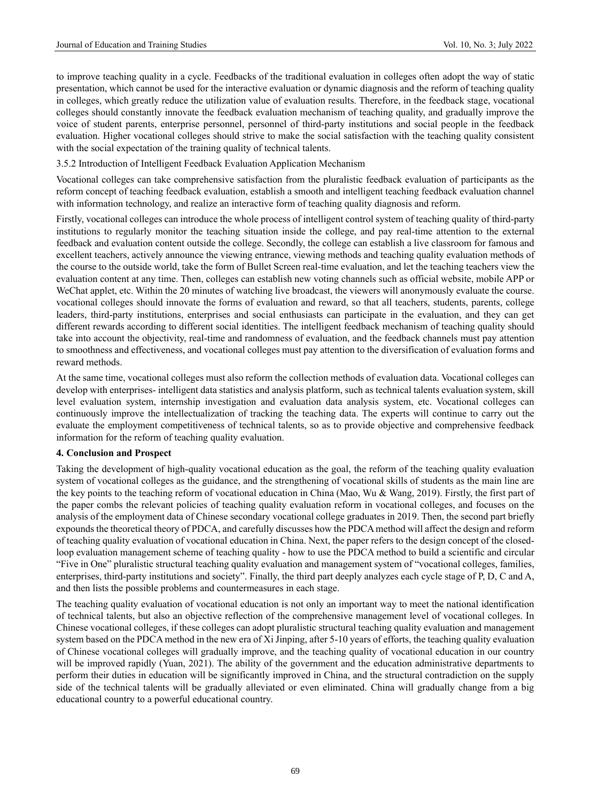to improve teaching quality in a cycle. Feedbacks of the traditional evaluation in colleges often adopt the way of static presentation, which cannot be used for the interactive evaluation or dynamic diagnosis and the reform of teaching quality in colleges, which greatly reduce the utilization value of evaluation results. Therefore, in the feedback stage, vocational colleges should constantly innovate the feedback evaluation mechanism of teaching quality, and gradually improve the voice of student parents, enterprise personnel, personnel of third-party institutions and social people in the feedback evaluation. Higher vocational colleges should strive to make the social satisfaction with the teaching quality consistent with the social expectation of the training quality of technical talents.

3.5.2 Introduction of Intelligent Feedback Evaluation Application Mechanism

Vocational colleges can take comprehensive satisfaction from the pluralistic feedback evaluation of participants as the reform concept of teaching feedback evaluation, establish a smooth and intelligent teaching feedback evaluation channel with information technology, and realize an interactive form of teaching quality diagnosis and reform.

Firstly, vocational colleges can introduce the whole process of intelligent control system of teaching quality of third-party institutions to regularly monitor the teaching situation inside the college, and pay real-time attention to the external feedback and evaluation content outside the college. Secondly, the college can establish a live classroom for famous and excellent teachers, actively announce the viewing entrance, viewing methods and teaching quality evaluation methods of the course to the outside world, take the form of Bullet Screen real-time evaluation, and let the teaching teachers view the evaluation content at any time. Then, colleges can establish new voting channels such as official website, mobile APP or We Chat applet, etc. Within the 20 minutes of watching live broadcast, the viewers will anonymously evaluate the course. vocational colleges should innovate the forms of evaluation and reward, so that all teachers, students, parents, college leaders, third-party institutions, enterprises and social enthusiasts can participate in the evaluation, and they can get different rewards according to different social identities. The intelligent feedback mechanism of teaching quality should take into account the objectivity, real-time and randomness of evaluation, and the feedback channels must pay attention to smoothness and effectiveness, and vocational colleges must pay attention to the diversification of evaluation forms and reward methods.

At the same time, vocational colleges must also reform the collection methods of evaluation data. Vocational colleges can develop with enterprises- intelligent data statistics and analysis platform, such as technical talents evaluation system, skill level evaluation system, internship investigation and evaluation data analysis system, etc. Vocational colleges can continuously improve the intellectualization of tracking the teaching data. The experts will continue to carry out the evaluate the employment competitiveness of technical talents, so as to provide objective and comprehensive feedback information for the reform of teaching quality evaluation.

# **4. Conclusion and Prospect**

Taking the development of high-quality vocational education as the goal, the reform of the teaching quality evaluation system of vocational colleges as the guidance, and the strengthening of vocational skills of students as the main line are the key points to the teaching reform of vocational education in China (Mao, Wu & Wang, 2019). Firstly, the first part of the paper combs the relevant policies of teaching quality evaluation reform in vocational colleges, and focuses on the analysis of the employment data of Chinese secondary vocational college graduates in 2019. Then, the second part briefly expounds the theoretical theory of PDCA, and carefully discusses how the PDCA method will affect the design and reform of teaching quality evaluation of vocational education in China. Next, the paper refers to the design concept of the closedloop evaluation management scheme of teaching quality - how to use the PDCA method to build a scientific and circular "Five in One" pluralistic structural teaching quality evaluation and management system of "vocational colleges, families, enterprises, third-party institutions and society". Finally, the third part deeply analyzes each cycle stage of P, D, C and A, and then lists the possible problems and countermeasures in each stage.

The teaching quality evaluation of vocational education is not only an important way to meet the national identification of technical talents, but also an objective reflection of the comprehensive management level of vocational colleges. In Chinese vocational colleges, if these colleges can adopt pluralistic structural teaching quality evaluation and management system based on the PDCA method in the new era of Xi Jinping, after 5-10 years of efforts, the teaching quality evaluation of Chinese vocational colleges will gradually improve, and the teaching quality of vocational education in our country will be improved rapidly (Yuan, 2021). The ability of the government and the education administrative departments to perform their duties in education will be significantly improved in China, and the structural contradiction on the supply side of the technical talents will be gradually alleviated or even eliminated. China will gradually change from a big educational country to a powerful educational country.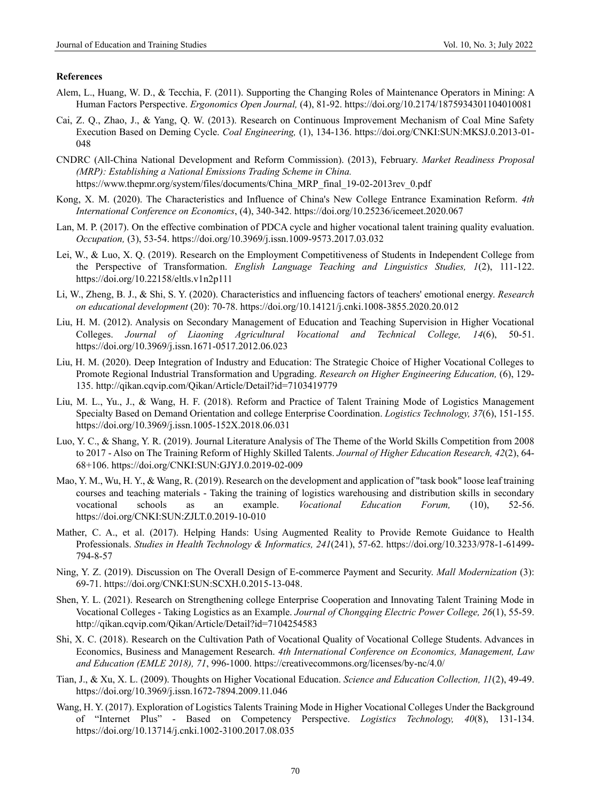#### **References**

- Alem, L., Huang, W. D., & Tecchia, F. (2011). Supporting the Changing Roles of Maintenance Operators in Mining: A Human Factors Perspective. *Ergonomics Open Journal,* (4), 81-92.<https://doi.org/10.2174/1875934301104010081>
- Cai, Z. Q., Zhao, J., & Yang, Q. W. (2013). Research on Continuous Improvement Mechanism of Coal Mine Safety Execution Based on Deming Cycle. *Coal Engineering,* (1), 134-136. https://doi.org/CNKI:SUN:MKSJ.0.2013-01- 048
- CNDRC (All-China National Development and Reform Commission). (2013), February. *Market Readiness Proposal (MRP): Establishing a National Emissions Trading Scheme in China.* https://www.thepmr.org/system/files/documents/China\_MRP\_final\_19-02-2013rev\_0.pdf
- Kong, X. M. (2020). The Characteristics and Influence of China's New College Entrance Examination Reform. *4th International Conference on Economics*, (4), 340-342. https://doi.org/10.25236/icemeet.2020.067
- Lan, M. P. (2017). On the effective combination of PDCA cycle and higher vocational talent training quality evaluation. *Occupation,* (3), 53-54. https://doi.org/10.3969/j.issn.1009-9573.2017.03.032
- Lei, W., & Luo, X. Q. (2019). Research on the Employment Competitiveness of Students in Independent College from the Perspective of Transformation. *English Language Teaching and Linguistics Studies, 1*(2), 111-122. <https://doi.org/10.22158/eltls.v1n2p111>
- Li, W., Zheng, B. J., & Shi, S. Y. (2020). Characteristics and influencing factors of teachers' emotional energy. *Research on educational development* (20): 70-78. https://doi.org/10.14121/j.cnki.1008-3855.2020.20.012
- Liu, H. M. (2012). Analysis on Secondary Management of Education and Teaching Supervision in Higher Vocational Colleges. *Journal of Liaoning Agricultural Vocational and Technical College, 14*(6), 50-51. https://doi.org/10.3969/j.issn.1671-0517.2012.06.023
- Liu, H. M. (2020). Deep Integration of Industry and Education: The Strategic Choice of Higher Vocational Colleges to Promote Regional Industrial Transformation and Upgrading. *Research on Higher Engineering Education,* (6), 129- 135. http://qikan.cqvip.com/Qikan/Article/Detail?id=7103419779
- Liu, M. L., Yu., J., & Wang, H. F. (2018). Reform and Practice of Talent Training Mode of Logistics Management Specialty Based on Demand Orientation and college Enterprise Coordination. *Logistics Technology, 37*(6), 151-155. https://doi.org/10.3969/j.issn.1005-152X.2018.06.031
- Luo, Y. C., & Shang, Y. R. (2019). Journal Literature Analysis of The Theme of the World Skills Competition from 2008 to 2017 - Also on The Training Reform of Highly Skilled Talents. *Journal of Higher Education Research, 42*(2), 64- 68+106. https://doi.org/CNKI:SUN:GJYJ.0.2019-02-009
- Mao, Y. M., Wu, H. Y., & Wang, R. (2019). Research on the development and application of "task book" loose leaf training courses and teaching materials - Taking the training of logistics warehousing and distribution skills in secondary vocational schools as an example. *Vocational Education Forum,* (10), 52-56. https://doi.org/CNKI:SUN:ZJLT.0.2019-10-010
- Mather, C. A., et al. (2017). Helping Hands: Using Augmented Reality to Provide Remote Guidance to Health Professionals. *Studies in Health Technology & Informatics, 241*(241), 57-62. https://doi.org/10.3233/978-1-61499- 794-8-57
- Ning, Y. Z. (2019). Discussion on The Overall Design of E-commerce Payment and Security. *Mall Modernization* (3): 69-71. https://doi.org/CNKI:SUN:SCXH.0.2015-13-048.
- Shen, Y. L. (2021). Research on Strengthening college Enterprise Cooperation and Innovating Talent Training Mode in Vocational Colleges - Taking Logistics as an Example. *Journal of Chongqing Electric Power College, 26*(1), 55-59. http://qikan.cqvip.com/Qikan/Article/Detail?id=7104254583
- Shi, X. C. (2018). Research on the Cultivation Path of Vocational Quality of Vocational College Students. Advances in Economics, Business and Management Research. *4th International Conference on Economics, Management, Law and Education (EMLE 2018), 71*, 996-1000. https://creativecommons.org/licenses/by-nc/4.0/
- Tian, J., & Xu, X. L. (2009). Thoughts on Higher Vocational Education. *Science and Education Collection, 11*(2), 49-49. https://doi.org/10.3969/j.issn.1672-7894.2009.11.046
- Wang, H. Y. (2017). Exploration of Logistics Talents Training Mode in Higher Vocational Colleges Under the Background of "Internet Plus" - Based on Competency Perspective. *Logistics Technology, 40*(8), 131-134. https://doi.org/10.13714/j.cnki.1002-3100.2017.08.035